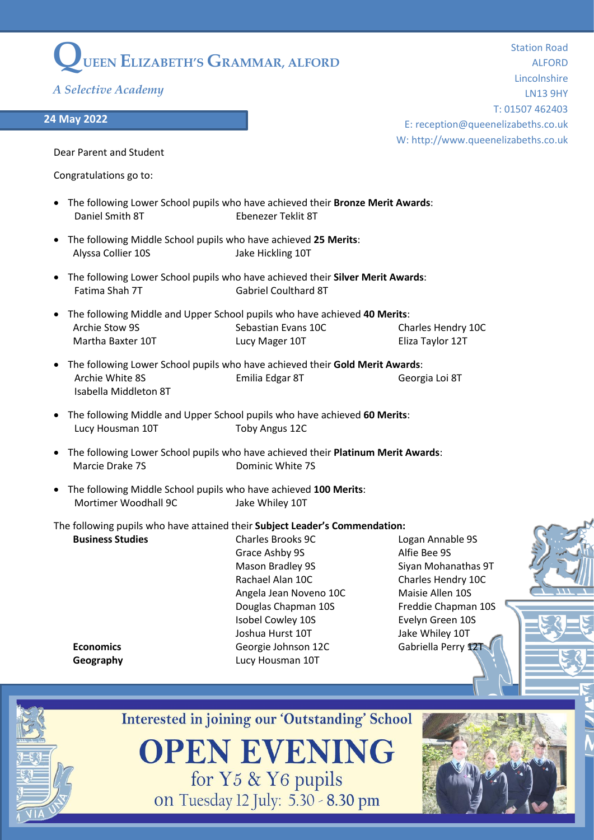## **QUEEN ELIZABETH'S GRAMMAR, ALFORD**

*A Selective Academy*

## **24 May 2022**

Station Road ALFORD Lincolnshire LN13 9HY T: 01507 462403 E: reception@queenelizabeths.co.uk W: http://www.queenelizabeths.co.uk

Dear Parent and Student

Congratulations go to:

- The following Lower School pupils who have achieved their **Bronze Merit Awards**: Daniel Smith 8T Fhenezer Teklit 8T
- The following Middle School pupils who have achieved **25 Merits**: Alyssa Collier 10S **Jake Hickling 10T**
- The following Lower School pupils who have achieved their **Silver Merit Awards**: Fatima Shah 7T Gabriel Coulthard 8T
- The following Middle and Upper School pupils who have achieved **40 Merits**: Archie Stow 9S **Sebastian Evans 10C** Charles Hendry 10C Martha Baxter 10T Lucy Mager 10T Eliza Taylor 12T
- The following Lower School pupils who have achieved their **Gold Merit Awards**: Archie White 8S Emilia Edgar 8T Georgia Loi 8T Isabella Middleton 8T
- The following Middle and Upper School pupils who have achieved **60 Merits**: Lucy Housman 10T Toby Angus 12C
- The following Lower School pupils who have achieved their **Platinum Merit Awards**: Marcie Drake 7S Dominic White 7S
- The following Middle School pupils who have achieved **100 Merits**: Mortimer Woodhall 9C Jake Whiley 10T

## The following pupils who have attained their **Subject Leader's Commendation:**

**Business Studies** Charles Brooks 9C Logan Annable 9S Grace Ashby 9S Alfie Bee 9S Mason Bradley 9S Siyan Mohanathas 9T Rachael Alan 10C Charles Hendry 10C Angela Jean Noveno 10C Maisie Allen 10S Douglas Chapman 10S Freddie Chapman 10S Isobel Cowley 10S Evelyn Green 10S Joshua Hurst 10T Jake Whiley 10T **Economics Economics** Georgie Johnson 12C Gabriella Perry 12T **Geography** Lucy Housman 10T



**Interested in joining our 'Outstanding' School** 

**OPEN EVENING** for Y5 & Y6 pupils on Tuesday 12 July: 5.30 - 8.30 pm

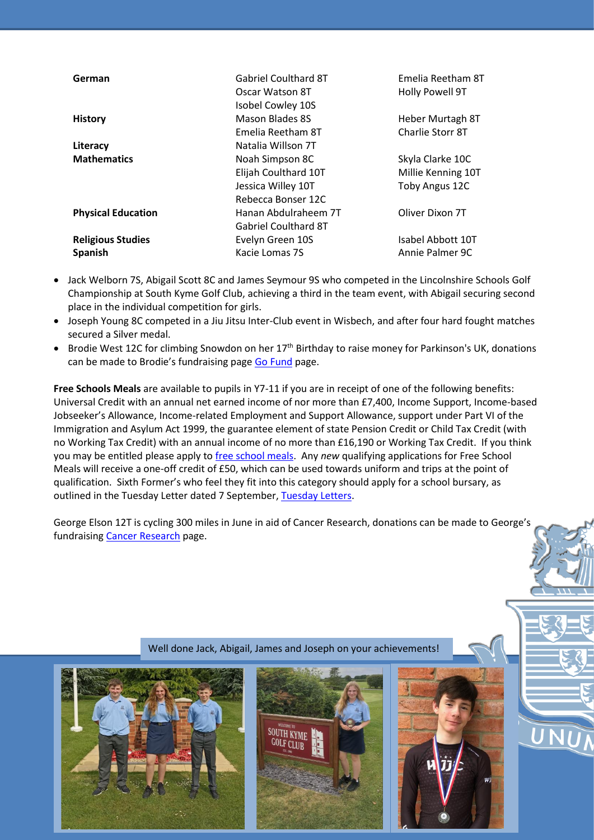| German                    | <b>Gabriel Coulthard 8T</b><br>Oscar Watson 8T | Emelia Reetham 8T<br>Holly Powell 9T |
|---------------------------|------------------------------------------------|--------------------------------------|
|                           | Isobel Cowley 10S                              |                                      |
| <b>History</b>            | Mason Blades 8S                                | Heber Murtagh 8T                     |
|                           | Emelia Reetham 8T                              | Charlie Storr 8T                     |
| Literacy                  | Natalia Willson 7T                             |                                      |
| <b>Mathematics</b>        | Noah Simpson 8C                                | Skyla Clarke 10C                     |
|                           | Elijah Coulthard 10T                           | Millie Kenning 10T                   |
|                           | Jessica Willey 10T                             | Toby Angus 12C                       |
|                           | Rebecca Bonser 12C                             |                                      |
| <b>Physical Education</b> | Hanan Abdulraheem 7T                           | Oliver Dixon 7T                      |
|                           | <b>Gabriel Coulthard 8T</b>                    |                                      |
| <b>Religious Studies</b>  | Evelyn Green 10S                               | Isabel Abbott 10T                    |
| <b>Spanish</b>            | Kacie Lomas 7S                                 | Annie Palmer 9C                      |

- Jack Welborn 7S, Abigail Scott 8C and James Seymour 9S who competed in the Lincolnshire Schools Golf Championship at South Kyme Golf Club, achieving a third in the team event, with Abigail securing second place in the individual competition for girls.
- Joseph Young 8C competed in a Jiu Jitsu Inter-Club event in Wisbech, and after four hard fought matches secured a Silver medal.
- Brodie West 12C for climbing Snowdon on her 17<sup>th</sup> Birthday to raise money for Parkinson's UK, donations can be made to Brodie's fundraising page [Go Fund](https://gofund.me/e5fa571d) page.

**Free Schools Meals** are available to pupils in Y7-11 if you are in receipt of one of the following benefits: Universal Credit with an annual net earned income of nor more than £7,400, Income Support, Income-based Jobseeker's Allowance, Income-related Employment and Support Allowance, support under Part VI of the Immigration and Asylum Act 1999, the guarantee element of state Pension Credit or Child Tax Credit (with no Working Tax Credit) with an annual income of no more than £16,190 or Working Tax Credit. If you think you may be entitled please apply t[o free school meals.](https://lcc.cloud.servelec-synergy.com/SynergyWeb/Parents/default.aspx) Any *new* qualifying applications for Free School Meals will receive a one-off credit of £50, which can be used towards uniform and trips at the point of qualification. Sixth Former's who feel they fit into this category should apply for a school bursary, as outlined in the Tuesday Letter dated 7 September, [Tuesday Letters.](https://www.queenelizabeths.co.uk/html/letter/index.php)

George Elson 12T is cycling 300 miles in June in aid of Cancer Research, donations can be made to George's fundraising [Cancer Research](https://fundraise.cancerresearchuk.org/page/georges-cycle-300-giving-page-11) page.



**SOUTH KYME** 



UNU